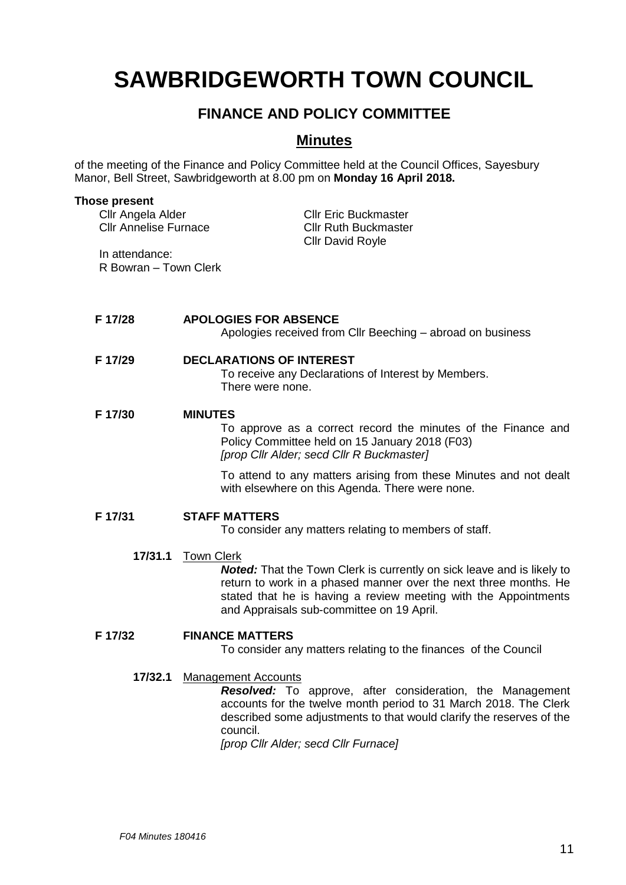# **SAWBRIDGEWORTH TOWN COUNCIL**

## **FINANCE AND POLICY COMMITTEE**

## **Minutes**

of the meeting of the Finance and Policy Committee held at the Council Offices, Sayesbury Manor, Bell Street, Sawbridgeworth at 8.00 pm on **Monday 16 April 2018.**

| <b>Those present</b>                              |                                                                                                                                                                                                                                                                                 |
|---------------------------------------------------|---------------------------------------------------------------------------------------------------------------------------------------------------------------------------------------------------------------------------------------------------------------------------------|
| Cllr Angela Alder<br><b>Cllr Annelise Furnace</b> | <b>Cllr Eric Buckmaster</b><br><b>Cllr Ruth Buckmaster</b>                                                                                                                                                                                                                      |
| In attendance:                                    | <b>Cllr David Royle</b>                                                                                                                                                                                                                                                         |
| R Bowran - Town Clerk                             |                                                                                                                                                                                                                                                                                 |
|                                                   |                                                                                                                                                                                                                                                                                 |
| F 17/28                                           | <b>APOLOGIES FOR ABSENCE</b>                                                                                                                                                                                                                                                    |
|                                                   | Apologies received from Cllr Beeching – abroad on business                                                                                                                                                                                                                      |
| F 17/29                                           | <b>DECLARATIONS OF INTEREST</b>                                                                                                                                                                                                                                                 |
|                                                   | To receive any Declarations of Interest by Members.<br>There were none.                                                                                                                                                                                                         |
| F 17/30                                           | <b>MINUTES</b>                                                                                                                                                                                                                                                                  |
|                                                   | To approve as a correct record the minutes of the Finance and<br>Policy Committee held on 15 January 2018 (F03)<br>[prop Cllr Alder; secd Cllr R Buckmaster]                                                                                                                    |
|                                                   | To attend to any matters arising from these Minutes and not dealt<br>with elsewhere on this Agenda. There were none.                                                                                                                                                            |
| F 17/31                                           | <b>STAFF MATTERS</b>                                                                                                                                                                                                                                                            |
|                                                   | To consider any matters relating to members of staff.                                                                                                                                                                                                                           |
| 17/31.1                                           | <b>Town Clerk</b><br>Noted: That the Town Clerk is currently on sick leave and is likely to<br>return to work in a phased manner over the next three months. He<br>stated that he is having a review meeting with the Appointments<br>and Appraisals sub-committee on 19 April. |
| F 17/32                                           | <b>FINANCE MATTERS</b>                                                                                                                                                                                                                                                          |
|                                                   | To consider any matters relating to the finances of the Council                                                                                                                                                                                                                 |
| 17/32.1                                           | <b>Management Accounts</b>                                                                                                                                                                                                                                                      |
|                                                   | <b>Resolved:</b> To approve, after consideration, the Management<br>accounts for the twelve month period to 31 March 2018. The Clerk<br>described some adjustments to that would clarify the reserves of the                                                                    |
|                                                   | council.<br>[prop Cllr Alder; secd Cllr Furnace]                                                                                                                                                                                                                                |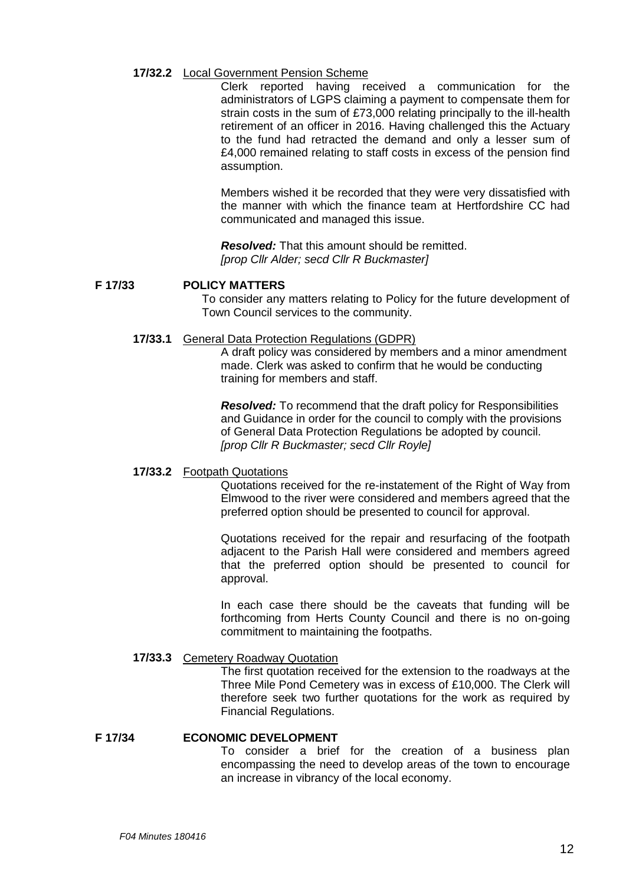### **17/32.2** Local Government Pension Scheme

Clerk reported having received a communication for the administrators of LGPS claiming a payment to compensate them for strain costs in the sum of £73,000 relating principally to the ill-health retirement of an officer in 2016. Having challenged this the Actuary to the fund had retracted the demand and only a lesser sum of £4,000 remained relating to staff costs in excess of the pension find assumption.

Members wished it be recorded that they were very dissatisfied with the manner with which the finance team at Hertfordshire CC had communicated and managed this issue.

*Resolved:* That this amount should be remitted. *[prop Cllr Alder; secd Cllr R Buckmaster]*

#### **F 17/33 POLICY MATTERS**

To consider any matters relating to Policy for the future development of Town Council services to the community.

#### **17/33.1** General Data Protection Regulations (GDPR)

A draft policy was considered by members and a minor amendment made. Clerk was asked to confirm that he would be conducting training for members and staff.

*Resolved:* To recommend that the draft policy for Responsibilities and Guidance in order for the council to comply with the provisions of General Data Protection Regulations be adopted by council. *[prop Cllr R Buckmaster; secd Cllr Royle]*

### **17/33.2** Footpath Quotations

Quotations received for the re-instatement of the Right of Way from Elmwood to the river were considered and members agreed that the preferred option should be presented to council for approval.

Quotations received for the repair and resurfacing of the footpath adjacent to the Parish Hall were considered and members agreed that the preferred option should be presented to council for approval.

In each case there should be the caveats that funding will be forthcoming from Herts County Council and there is no on-going commitment to maintaining the footpaths.

### **17/33.3** Cemetery Roadway Quotation

The first quotation received for the extension to the roadways at the Three Mile Pond Cemetery was in excess of £10,000. The Clerk will therefore seek two further quotations for the work as required by Financial Regulations.

### **F 17/34 ECONOMIC DEVELOPMENT**

To consider a brief for the creation of a business plan encompassing the need to develop areas of the town to encourage an increase in vibrancy of the local economy.